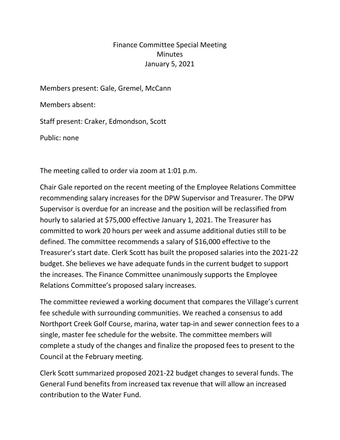## Finance Committee Special Meeting **Minutes** January 5, 2021

Members present: Gale, Gremel, McCann

Members absent:

Staff present: Craker, Edmondson, Scott

Public: none

The meeting called to order via zoom at 1:01 p.m.

Chair Gale reported on the recent meeting of the Employee Relations Committee recommending salary increases for the DPW Supervisor and Treasurer. The DPW Supervisor is overdue for an increase and the position will be reclassified from hourly to salaried at \$75,000 effective January 1, 2021. The Treasurer has committed to work 20 hours per week and assume additional duties still to be defined. The committee recommends a salary of \$16,000 effective to the Treasurer's start date. Clerk Scott has built the proposed salaries into the 2021-22 budget. She believes we have adequate funds in the current budget to support the increases. The Finance Committee unanimously supports the Employee Relations Committee's proposed salary increases.

The committee reviewed a working document that compares the Village's current fee schedule with surrounding communities. We reached a consensus to add Northport Creek Golf Course, marina, water tap-in and sewer connection fees to a single, master fee schedule for the website. The committee members will complete a study of the changes and finalize the proposed fees to present to the Council at the February meeting.

Clerk Scott summarized proposed 2021-22 budget changes to several funds. The General Fund benefits from increased tax revenue that will allow an increased contribution to the Water Fund.